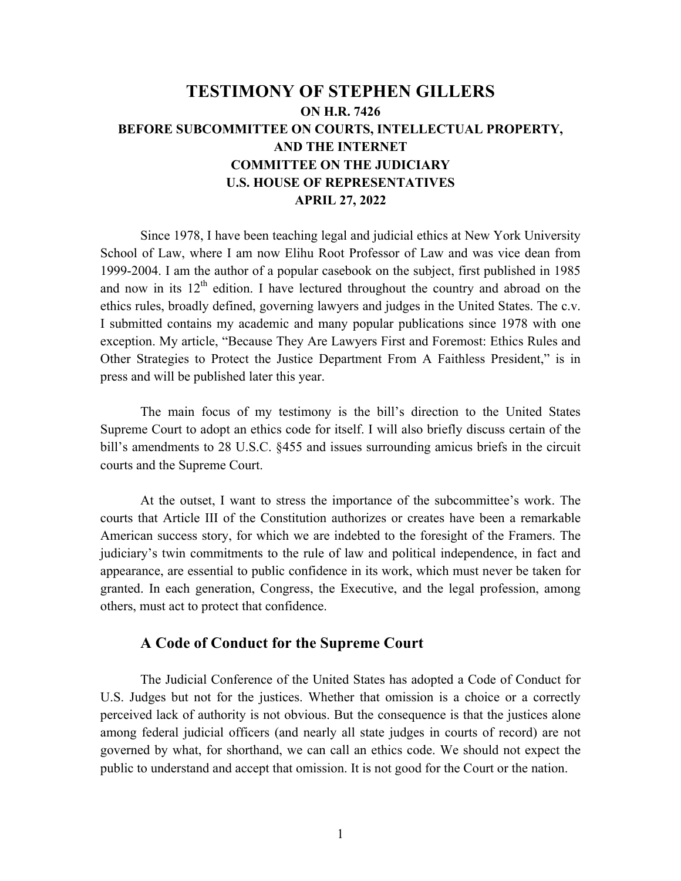# **TESTIMONY OF STEPHEN GILLERS ON H.R. 7426 BEFORE SUBCOMMITTEE ON COURTS, INTELLECTUAL PROPERTY, AND THE INTERNET COMMITTEE ON THE JUDICIARY U.S. HOUSE OF REPRESENTATIVES APRIL 27, 2022**

Since 1978, I have been teaching legal and judicial ethics at New York University School of Law, where I am now Elihu Root Professor of Law and was vice dean from 1999-2004. I am the author of a popular casebook on the subject, first published in 1985 and now in its  $12<sup>th</sup>$  edition. I have lectured throughout the country and abroad on the ethics rules, broadly defined, governing lawyers and judges in the United States. The c.v. I submitted contains my academic and many popular publications since 1978 with one exception. My article, "Because They Are Lawyers First and Foremost: Ethics Rules and Other Strategies to Protect the Justice Department From A Faithless President," is in press and will be published later this year.

The main focus of my testimony is the bill's direction to the United States Supreme Court to adopt an ethics code for itself. I will also briefly discuss certain of the bill's amendments to 28 U.S.C. §455 and issues surrounding amicus briefs in the circuit courts and the Supreme Court.

At the outset, I want to stress the importance of the subcommittee's work. The courts that Article III of the Constitution authorizes or creates have been a remarkable American success story, for which we are indebted to the foresight of the Framers. The judiciary's twin commitments to the rule of law and political independence, in fact and appearance, are essential to public confidence in its work, which must never be taken for granted. In each generation, Congress, the Executive, and the legal profession, among others, must act to protect that confidence.

## **A Code of Conduct for the Supreme Court**

The Judicial Conference of the United States has adopted a Code of Conduct for U.S. Judges but not for the justices. Whether that omission is a choice or a correctly perceived lack of authority is not obvious. But the consequence is that the justices alone among federal judicial officers (and nearly all state judges in courts of record) are not governed by what, for shorthand, we can call an ethics code. We should not expect the public to understand and accept that omission. It is not good for the Court or the nation.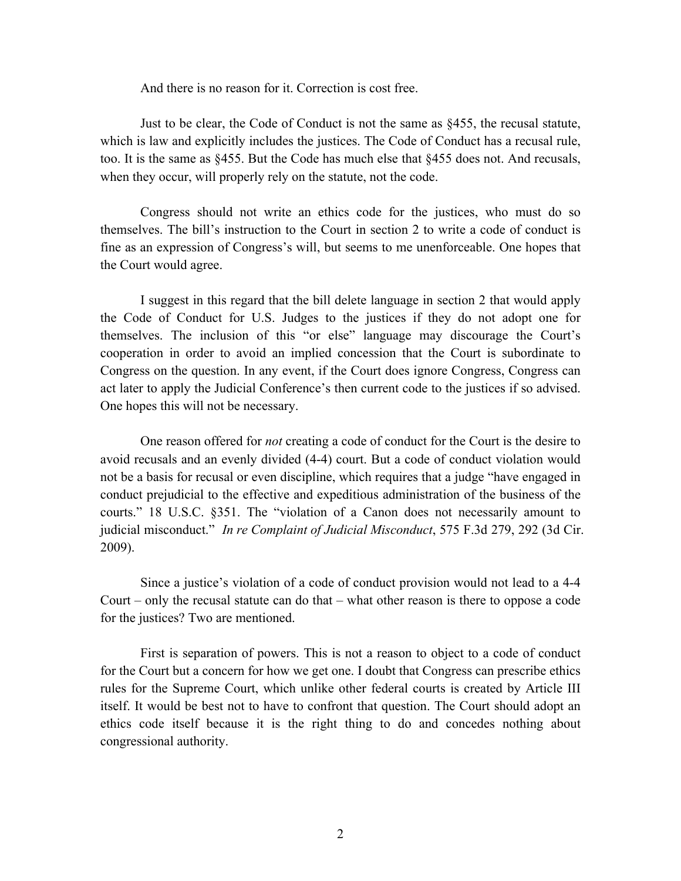And there is no reason for it. Correction is cost free.

Just to be clear, the Code of Conduct is not the same as §455, the recusal statute, which is law and explicitly includes the justices. The Code of Conduct has a recusal rule, too. It is the same as §455. But the Code has much else that §455 does not. And recusals, when they occur, will properly rely on the statute, not the code.

Congress should not write an ethics code for the justices, who must do so themselves. The bill's instruction to the Court in section 2 to write a code of conduct is fine as an expression of Congress's will, but seems to me unenforceable. One hopes that the Court would agree.

I suggest in this regard that the bill delete language in section 2 that would apply the Code of Conduct for U.S. Judges to the justices if they do not adopt one for themselves. The inclusion of this "or else" language may discourage the Court's cooperation in order to avoid an implied concession that the Court is subordinate to Congress on the question. In any event, if the Court does ignore Congress, Congress can act later to apply the Judicial Conference's then current code to the justices if so advised. One hopes this will not be necessary.

One reason offered for *not* creating a code of conduct for the Court is the desire to avoid recusals and an evenly divided (4-4) court. But a code of conduct violation would not be a basis for recusal or even discipline, which requires that a judge "have engaged in conduct prejudicial to the effective and expeditious administration of the business of the courts." 18 U.S.C. §351. The "violation of a Canon does not necessarily amount to judicial misconduct." *In re Complaint of Judicial Misconduct*, 575 F.3d 279, 292 (3d Cir. 2009).

Since a justice's violation of a code of conduct provision would not lead to a 4-4 Court – only the recusal statute can do that – what other reason is there to oppose a code for the justices? Two are mentioned.

First is separation of powers. This is not a reason to object to a code of conduct for the Court but a concern for how we get one. I doubt that Congress can prescribe ethics rules for the Supreme Court, which unlike other federal courts is created by Article III itself. It would be best not to have to confront that question. The Court should adopt an ethics code itself because it is the right thing to do and concedes nothing about congressional authority.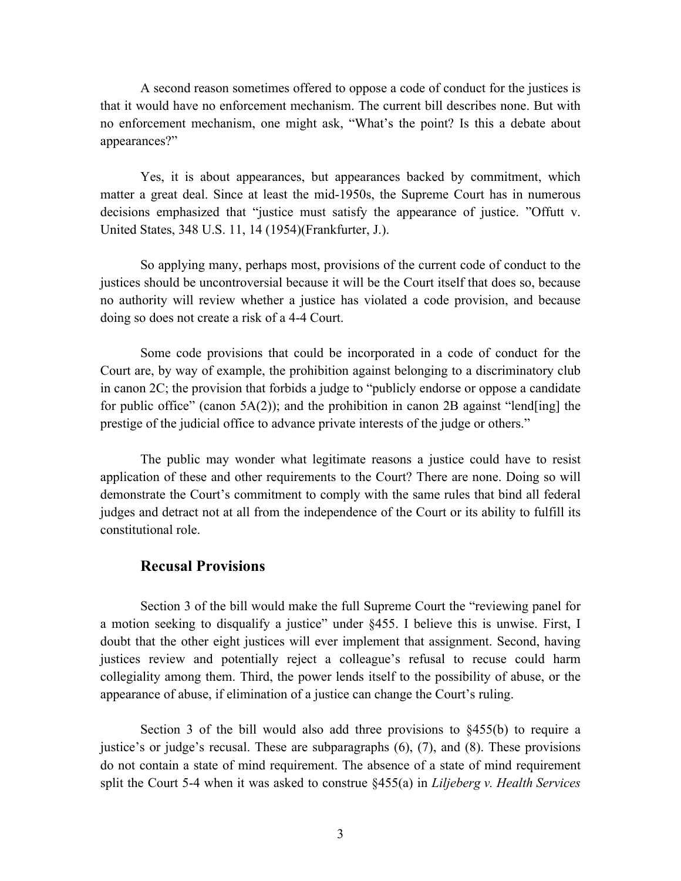A second reason sometimes offered to oppose a code of conduct for the justices is that it would have no enforcement mechanism. The current bill describes none. But with no enforcement mechanism, one might ask, "What's the point? Is this a debate about appearances?"

Yes, it is about appearances, but appearances backed by commitment, which matter a great deal. Since at least the mid-1950s, the Supreme Court has in numerous decisions emphasized that "justice must satisfy the appearance of justice. "Offutt v. United States, 348 U.S. 11, 14 (1954)(Frankfurter, J.).

So applying many, perhaps most, provisions of the current code of conduct to the justices should be uncontroversial because it will be the Court itself that does so, because no authority will review whether a justice has violated a code provision, and because doing so does not create a risk of a 4-4 Court.

Some code provisions that could be incorporated in a code of conduct for the Court are, by way of example, the prohibition against belonging to a discriminatory club in canon 2C; the provision that forbids a judge to "publicly endorse or oppose a candidate for public office" (canon 5A(2)); and the prohibition in canon 2B against "lend[ing] the prestige of the judicial office to advance private interests of the judge or others."

The public may wonder what legitimate reasons a justice could have to resist application of these and other requirements to the Court? There are none. Doing so will demonstrate the Court's commitment to comply with the same rules that bind all federal judges and detract not at all from the independence of the Court or its ability to fulfill its constitutional role.

### **Recusal Provisions**

Section 3 of the bill would make the full Supreme Court the "reviewing panel for a motion seeking to disqualify a justice" under §455. I believe this is unwise. First, I doubt that the other eight justices will ever implement that assignment. Second, having justices review and potentially reject a colleague's refusal to recuse could harm collegiality among them. Third, the power lends itself to the possibility of abuse, or the appearance of abuse, if elimination of a justice can change the Court's ruling.

Section 3 of the bill would also add three provisions to  $\S 455(b)$  to require a justice's or judge's recusal. These are subparagraphs (6), (7), and (8). These provisions do not contain a state of mind requirement. The absence of a state of mind requirement split the Court 5-4 when it was asked to construe §455(a) in *Liljeberg v. Health Services*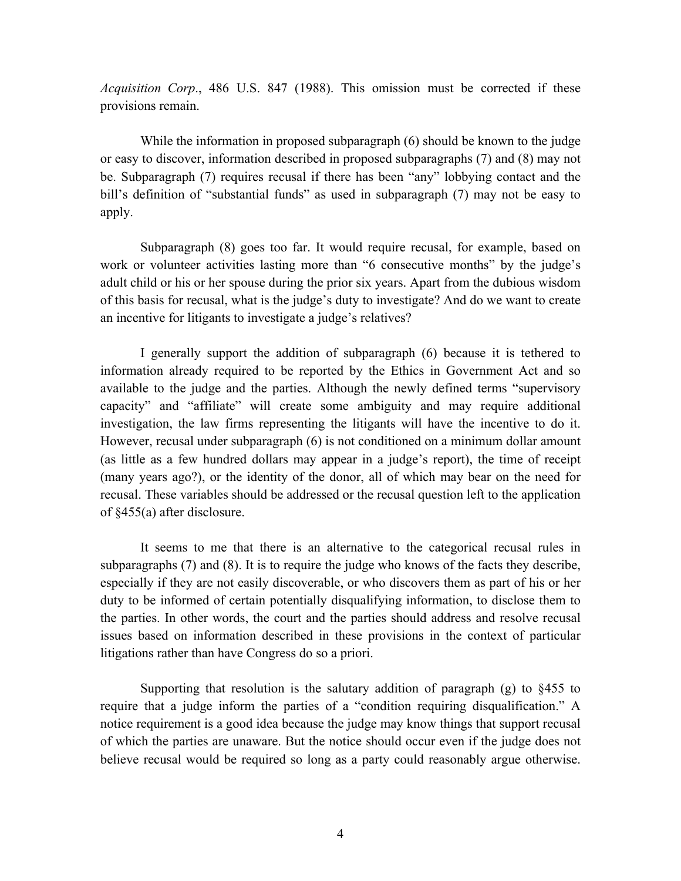*Acquisition Corp*., 486 U.S. 847 (1988). This omission must be corrected if these provisions remain.

While the information in proposed subparagraph (6) should be known to the judge or easy to discover, information described in proposed subparagraphs (7) and (8) may not be. Subparagraph (7) requires recusal if there has been "any" lobbying contact and the bill's definition of "substantial funds" as used in subparagraph (7) may not be easy to apply.

Subparagraph (8) goes too far. It would require recusal, for example, based on work or volunteer activities lasting more than "6 consecutive months" by the judge's adult child or his or her spouse during the prior six years. Apart from the dubious wisdom of this basis for recusal, what is the judge's duty to investigate? And do we want to create an incentive for litigants to investigate a judge's relatives?

I generally support the addition of subparagraph (6) because it is tethered to information already required to be reported by the Ethics in Government Act and so available to the judge and the parties. Although the newly defined terms "supervisory capacity" and "affiliate" will create some ambiguity and may require additional investigation, the law firms representing the litigants will have the incentive to do it. However, recusal under subparagraph (6) is not conditioned on a minimum dollar amount (as little as a few hundred dollars may appear in a judge's report), the time of receipt (many years ago?), or the identity of the donor, all of which may bear on the need for recusal. These variables should be addressed or the recusal question left to the application of §455(a) after disclosure.

It seems to me that there is an alternative to the categorical recusal rules in subparagraphs (7) and (8). It is to require the judge who knows of the facts they describe, especially if they are not easily discoverable, or who discovers them as part of his or her duty to be informed of certain potentially disqualifying information, to disclose them to the parties. In other words, the court and the parties should address and resolve recusal issues based on information described in these provisions in the context of particular litigations rather than have Congress do so a priori.

Supporting that resolution is the salutary addition of paragraph (g) to §455 to require that a judge inform the parties of a "condition requiring disqualification." A notice requirement is a good idea because the judge may know things that support recusal of which the parties are unaware. But the notice should occur even if the judge does not believe recusal would be required so long as a party could reasonably argue otherwise.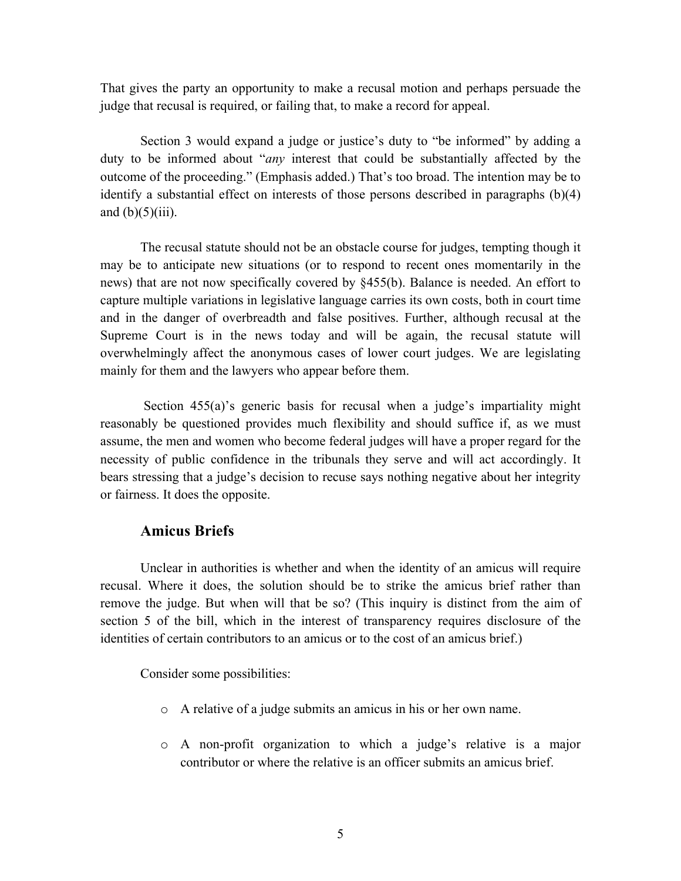That gives the party an opportunity to make a recusal motion and perhaps persuade the judge that recusal is required, or failing that, to make a record for appeal.

Section 3 would expand a judge or justice's duty to "be informed" by adding a duty to be informed about "*any* interest that could be substantially affected by the outcome of the proceeding." (Emphasis added.) That's too broad. The intention may be to identify a substantial effect on interests of those persons described in paragraphs (b)(4) and  $(b)(5)(iii)$ .

The recusal statute should not be an obstacle course for judges, tempting though it may be to anticipate new situations (or to respond to recent ones momentarily in the news) that are not now specifically covered by §455(b). Balance is needed. An effort to capture multiple variations in legislative language carries its own costs, both in court time and in the danger of overbreadth and false positives. Further, although recusal at the Supreme Court is in the news today and will be again, the recusal statute will overwhelmingly affect the anonymous cases of lower court judges. We are legislating mainly for them and the lawyers who appear before them.

Section 455(a)'s generic basis for recusal when a judge's impartiality might reasonably be questioned provides much flexibility and should suffice if, as we must assume, the men and women who become federal judges will have a proper regard for the necessity of public confidence in the tribunals they serve and will act accordingly. It bears stressing that a judge's decision to recuse says nothing negative about her integrity or fairness. It does the opposite.

#### **Amicus Briefs**

Unclear in authorities is whether and when the identity of an amicus will require recusal. Where it does, the solution should be to strike the amicus brief rather than remove the judge. But when will that be so? (This inquiry is distinct from the aim of section 5 of the bill, which in the interest of transparency requires disclosure of the identities of certain contributors to an amicus or to the cost of an amicus brief.)

Consider some possibilities:

- o A relative of a judge submits an amicus in his or her own name.
- o A non-profit organization to which a judge's relative is a major contributor or where the relative is an officer submits an amicus brief.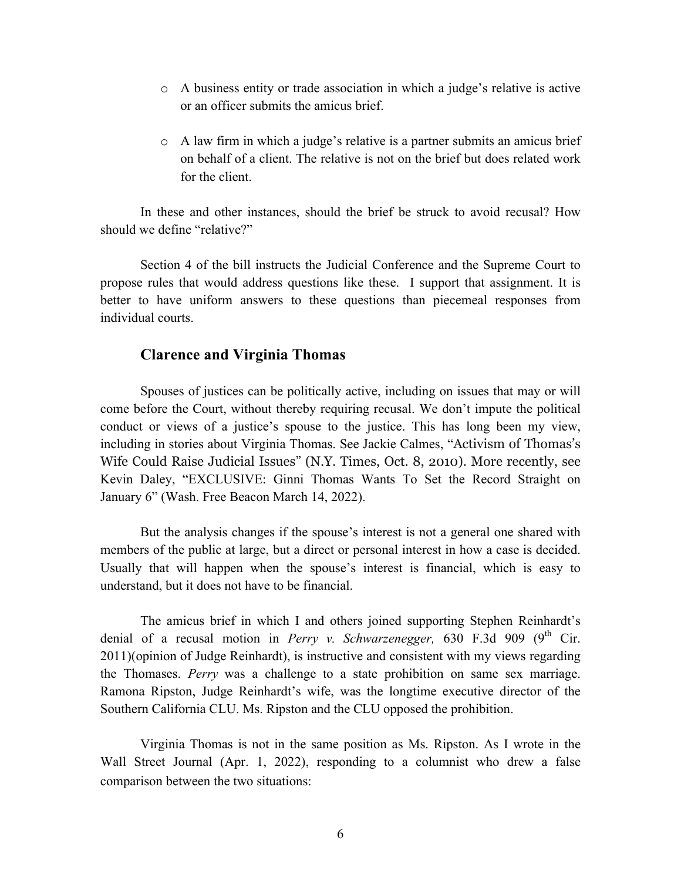- o A business entity or trade association in which a judge's relative is active or an officer submits the amicus brief.
- $\circ$  A law firm in which a judge's relative is a partner submits an amicus brief on behalf of a client. The relative is not on the brief but does related work for the client.

In these and other instances, should the brief be struck to avoid recusal? How should we define "relative?"

Section 4 of the bill instructs the Judicial Conference and the Supreme Court to propose rules that would address questions like these. I support that assignment. It is better to have uniform answers to these questions than piecemeal responses from individual courts.

#### **Clarence and Virginia Thomas**

Spouses of justices can be politically active, including on issues that may or will come before the Court, without thereby requiring recusal. We don't impute the political conduct or views of a justice's spouse to the justice. This has long been my view, including in stories about Virginia Thomas. See Jackie Calmes, "Activism of Thomas's Wife Could Raise Judicial Issues" (N.Y. Times, Oct. 8, 2010). More recently, see Kevin Daley, "EXCLUSIVE: Ginni Thomas Wants To Set the Record Straight on January 6" (Wash. Free Beacon March 14, 2022).

But the analysis changes if the spouse's interest is not a general one shared with members of the public at large, but a direct or personal interest in how a case is decided. Usually that will happen when the spouse's interest is financial, which is easy to understand, but it does not have to be financial.

The amicus brief in which I and others joined supporting Stephen Reinhardt's denial of a recusal motion in *Perry v. Schwarzenegger*, 630 F.3d 909 (9<sup>th</sup> Cir. 2011)(opinion of Judge Reinhardt), is instructive and consistent with my views regarding the Thomases. *Perry* was a challenge to a state prohibition on same sex marriage. Ramona Ripston, Judge Reinhardt's wife, was the longtime executive director of the Southern California CLU. Ms. Ripston and the CLU opposed the prohibition.

Virginia Thomas is not in the same position as Ms. Ripston. As I wrote in the Wall Street Journal (Apr. 1, 2022), responding to a columnist who drew a false comparison between the two situations: